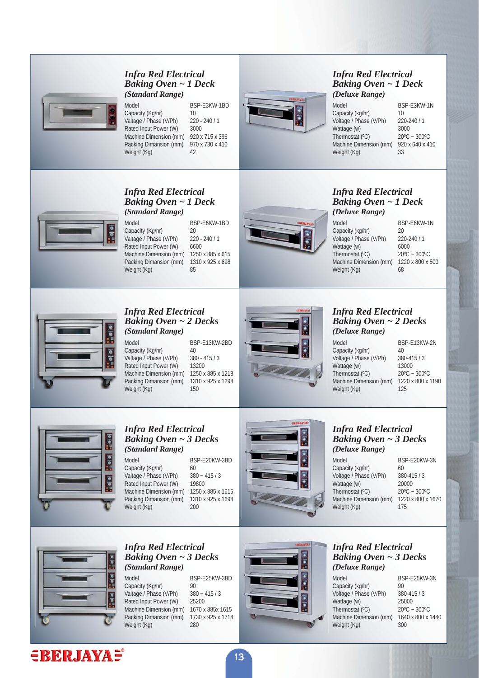

#### *Infra Red Electrical Baking Oven ~ 1 Deck (Standard Range)*

Model BSP-E3KW-1BD Capacity (Kg/hr) 10<br>Valtage / Phase (V/Ph) 220 - 240 / 1 Valtage / Phase (V/Ph) 220 -<br>Rated Input Power (W) 3000 Rated Input Power (W) Machine Dimension (mm) 920 x 715 x 396 Packing Dimansion (mm) 970 x 730 x 410 Weight (Kg) 42



#### *Infra Red Electrical Baking Oven ~ 1 Deck (Deluxe Range)*

Model BSP-E3KW-1N<br>Canacity (kg/hr) 10 Capacity (kg/hr) 10<br>Voltage / Phase (V/Ph) 220-240 / 1 Voltage / Phase (V/Ph) 220-2<br>Wattage (w) 3000 Wattage (w)  $3000$ <br>Thermostat (°C)  $20^{\circ}$ C ~ 300°C Thermostat  $(^{\circ}C)$ Machine Dimension (mm) 920 x 640 x 410 Weight (Kg) 33

## *Infra Red Electrical Baking Oven ~ 1 Deck (Standard Range)*

Model BSP-E6KW-1BD Capacity (Kg/hr) 20<br>Valtage / Phase (V/Ph) 220 - 240 / 1 Valtage / Phase (V/Ph) Rated Input Power (W) 6600 Machine Dimension (mm) 1250 x 885 x 615 Packing Dimansion (mm)  $1310 \times 925 \times 698$ <br>Weight  $(Kg)$ Weight  $(Kg)$ 



#### *Infra Red Electrical Baking Oven ~ 1 Deck (Deluxe Range)*

Model BSP-E6KW-1N Capacity (kg/hr) 20<br>Voltage / Phase (V/Ph) 220-240 / 1 Voltage / Phase (V/Ph) 220-2<br>Wattage (w) 6000 Wattage (w)  $6000$ <br>Thermostat (°C)  $20^{\circ}$ C ~ 300°C Thermostat  $(^{\circ}C)$ Machine Dimension (mm)  $1220 \times 800 \times 500$ <br>Weight  $(K_0)$  68 Weight (Kg)



#### *Infra Red Electrical Baking Oven ~ 2 Decks (Standard Range)*

Model BSP-F13KW-2BD Capacity (Kg/hr) 40<br>Valtage / Phase (V/Ph) 380 - 415 / 3 Valtage / Phase (V/Ph) Rated Input Power (W) 13200<br>Machine Dimension (mm) 1250 x 885 x 1218 Machine Dimension (mm) 1250 x 885 x 1218<br>Packing Dimansion (mm) 1310 x 925 x 1298 Packing Dimansion (mm) Weight (Kg) 150



#### *Infra Red Electrical Baking Oven ~ 2 Decks (Deluxe Range)*

Model BSP-F13KW-2N Capacity (kg/hr) 40<br>Voltage / Phase (V/Ph) 380-415 / 3 Voltage / Phase (V/Ph) Wattage (w)  $13000$ <br>Thermostat (°C)  $20^{\circ}$ C ~ 300°C Thermostat (°C) Machine Dimension (mm) 1220 x 800 x 1190 Weight (Kg) 125



#### *Infra Red Electrical Baking Oven ~ 3 Decks (Standard Range)*

Model BSP-E20KW-3BD Capacity (Kg/hr) 60<br>Valtage / Phase (V/Ph) 380 ~ 415 / 3 Valtage / Phase (V/Ph)  $380 \sim 415$ <br>Rated Input Power (W) 19800 Rated Input Power (W) 19800<br>Machine Dimension (mm) 1250 x 885 x 1615 Machine Dimension (mm) Packing Dimansion (mm) 1310 x 925 x 1698<br>Weight (Kg) 200 Weight  $(Kq)$ 



#### *Infra Red Electrical Baking Oven ~ 3 Decks (Deluxe Range)*

Model BSP-F20KW-3N Capacity (kg/hr) 60<br>Voltage / Phase (V/Ph) 380-415 / 3 Voltage / Phase (V/Ph) 380-41<br>Wattage (w) 20000 Wattage (w)  $20000$ <br>Thermostat (°C)  $20^{\circ}$ C ~ 300°C Thermostat (°C)  $20^{\circ}$ C ~ 300°C<br>Machine Dimension (mm)  $1220 \times 800 \times 1670$ Machine Dimension (mm)  $122$ <br>Weight  $(Kg)$   $175$ Weight (Kg)



#### *Infra Red Electrical Baking Oven ~ 3 Decks (Standard Range)*

Model BSP-E25KW-3BD Capacity (Kg/hr) 90<br>Valtage / Phase (V/Ph) 380 ~ 415 / 3 Valtage / Phase (V/Ph)  $380 - 415$ <br>Rated Input Power (W)  $25200$ Rated Input Power (W) 25200<br>Machine Dimension (mm) 1670 x 885x 1615 Machine Dimension (mm) Packing Dimansion (mm) 1730 x 925 x 1718 Weight (Kg) 280



#### *Infra Red Electrical Baking Oven ~ 3 Decks (Deluxe Range)*

Model BSP-E25KW-3N Capacity (kg/hr) 90<br>Voltage / Phase (V/Ph) 380-415/3 Voltage / Phase (V/Ph) Wattage (w)  $25000$ <br>Thermostat (°C)  $20^{\circ}$ C ~ 300°C Thermostat (°C) Machine Dimension (mm) 1640 x 800 x 1440 Weight (Kg) 300

# $E$ **RERJAYAE**